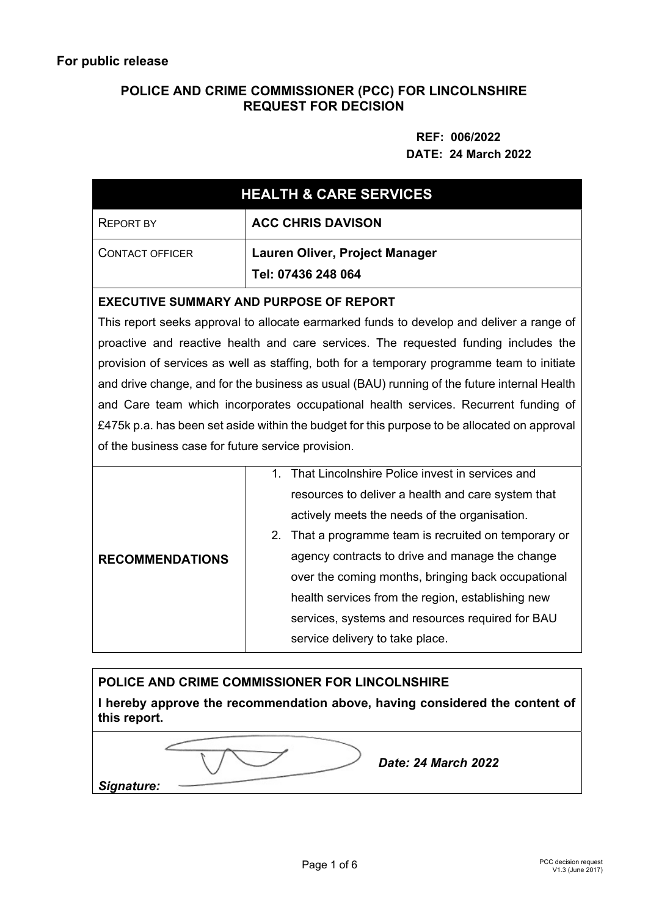# **POLICE AND CRIME COMMISSIONER (PCC) FOR LINCOLNSHIRE REQUEST FOR DECISION**

# **REF: 006/2022 DATE: 24 March 2022**

| <b>HEALTH &amp; CARE SERVICES</b>                                                            |                                                                      |  |  |  |
|----------------------------------------------------------------------------------------------|----------------------------------------------------------------------|--|--|--|
| <b>REPORT BY</b>                                                                             | <b>ACC CHRIS DAVISON</b>                                             |  |  |  |
| <b>CONTACT OFFICER</b>                                                                       | Lauren Oliver, Project Manager                                       |  |  |  |
|                                                                                              | Tel: 07436 248 064                                                   |  |  |  |
| <b>EXECUTIVE SUMMARY AND PURPOSE OF REPORT</b>                                               |                                                                      |  |  |  |
| This report seeks approval to allocate earmarked funds to develop and deliver a range of     |                                                                      |  |  |  |
| proactive and reactive health and care services. The requested funding includes the          |                                                                      |  |  |  |
| provision of services as well as staffing, both for a temporary programme team to initiate   |                                                                      |  |  |  |
| and drive change, and for the business as usual (BAU) running of the future internal Health  |                                                                      |  |  |  |
| and Care team which incorporates occupational health services. Recurrent funding of          |                                                                      |  |  |  |
| £475k p.a. has been set aside within the budget for this purpose to be allocated on approval |                                                                      |  |  |  |
| of the business case for future service provision.                                           |                                                                      |  |  |  |
| <b>RECOMMENDATIONS</b>                                                                       | 1. That Lincolnshire Police invest in services and                   |  |  |  |
|                                                                                              | resources to deliver a health and care system that                   |  |  |  |
|                                                                                              | actively meets the needs of the organisation.                        |  |  |  |
|                                                                                              | 2 <sub>1</sub><br>That a programme team is recruited on temporary or |  |  |  |
|                                                                                              | agency contracts to drive and manage the change                      |  |  |  |
|                                                                                              | over the coming months, bringing back occupational                   |  |  |  |
|                                                                                              | health services from the region, establishing new                    |  |  |  |
|                                                                                              | services, systems and resources required for BAU                     |  |  |  |
|                                                                                              | service delivery to take place.                                      |  |  |  |

# **POLICE AND CRIME COMMISSIONER FOR LINCOLNSHIRE I hereby approve the recommendation above, having considered the content of this report.**  *Signature: Date: 24 March 2022*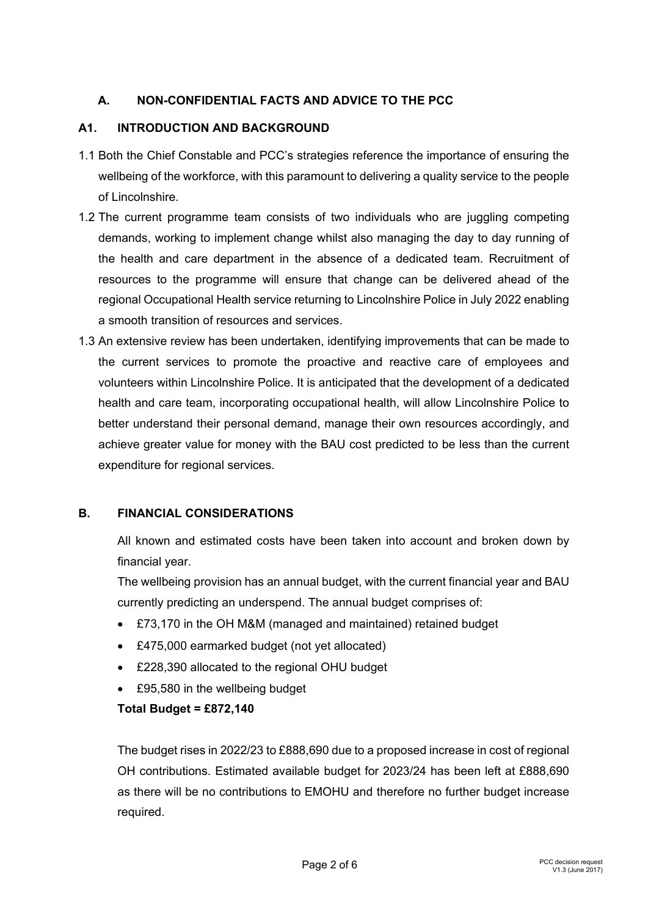## **A. NON-CONFIDENTIAL FACTS AND ADVICE TO THE PCC**

## **A1. INTRODUCTION AND BACKGROUND**

- 1.1 Both the Chief Constable and PCC's strategies reference the importance of ensuring the wellbeing of the workforce, with this paramount to delivering a quality service to the people of Lincolnshire.
- 1.2 The current programme team consists of two individuals who are juggling competing demands, working to implement change whilst also managing the day to day running of the health and care department in the absence of a dedicated team. Recruitment of resources to the programme will ensure that change can be delivered ahead of the regional Occupational Health service returning to Lincolnshire Police in July 2022 enabling a smooth transition of resources and services.
- 1.3 An extensive review has been undertaken, identifying improvements that can be made to the current services to promote the proactive and reactive care of employees and volunteers within Lincolnshire Police. It is anticipated that the development of a dedicated health and care team, incorporating occupational health, will allow Lincolnshire Police to better understand their personal demand, manage their own resources accordingly, and achieve greater value for money with the BAU cost predicted to be less than the current expenditure for regional services.

#### **B. FINANCIAL CONSIDERATIONS**

All known and estimated costs have been taken into account and broken down by financial year.

The wellbeing provision has an annual budget, with the current financial year and BAU currently predicting an underspend. The annual budget comprises of:

- £73,170 in the OH M&M (managed and maintained) retained budget
- £475,000 earmarked budget (not yet allocated)
- £228,390 allocated to the regional OHU budget
- £95,580 in the wellbeing budget

#### **Total Budget = £872,140**

The budget rises in 2022/23 to £888,690 due to a proposed increase in cost of regional OH contributions. Estimated available budget for 2023/24 has been left at £888,690 as there will be no contributions to EMOHU and therefore no further budget increase required.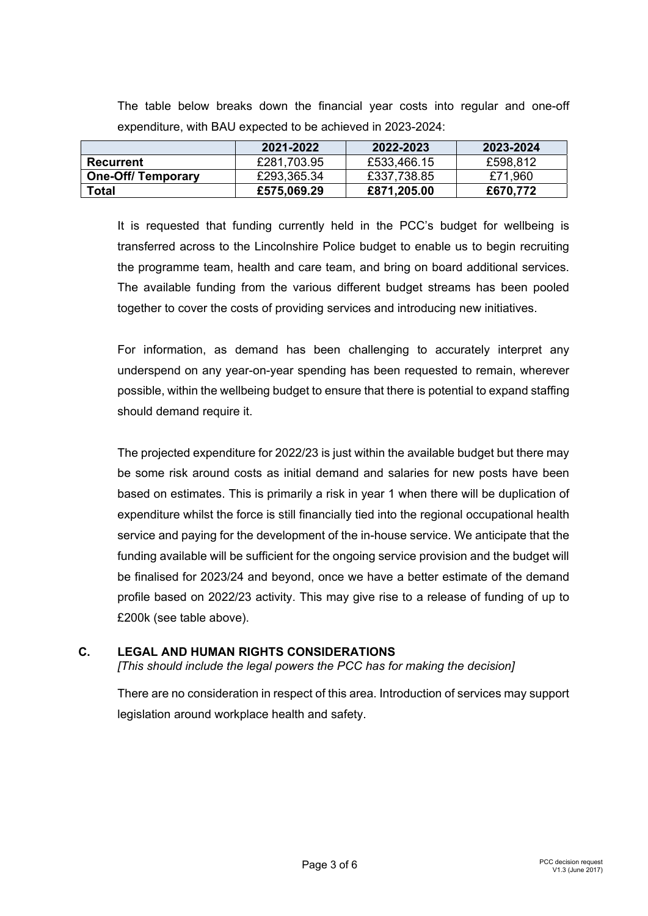|                           | 2021-2022   | 2022-2023   | 2023-2024 |
|---------------------------|-------------|-------------|-----------|
| Recurrent                 | £281,703.95 | £533,466.15 | £598,812  |
| <b>One-Off/ Temporary</b> | £293,365.34 | £337,738.85 | £71,960   |
| Total                     | £575,069.29 | £871,205.00 | £670,772  |

The table below breaks down the financial year costs into regular and one-off expenditure, with BAU expected to be achieved in 2023-2024:

It is requested that funding currently held in the PCC's budget for wellbeing is transferred across to the Lincolnshire Police budget to enable us to begin recruiting the programme team, health and care team, and bring on board additional services. The available funding from the various different budget streams has been pooled together to cover the costs of providing services and introducing new initiatives.

For information, as demand has been challenging to accurately interpret any underspend on any year-on-year spending has been requested to remain, wherever possible, within the wellbeing budget to ensure that there is potential to expand staffing should demand require it.

The projected expenditure for 2022/23 is just within the available budget but there may be some risk around costs as initial demand and salaries for new posts have been based on estimates. This is primarily a risk in year 1 when there will be duplication of expenditure whilst the force is still financially tied into the regional occupational health service and paying for the development of the in-house service. We anticipate that the funding available will be sufficient for the ongoing service provision and the budget will be finalised for 2023/24 and beyond, once we have a better estimate of the demand profile based on 2022/23 activity. This may give rise to a release of funding of up to £200k (see table above).

## **C. LEGAL AND HUMAN RIGHTS CONSIDERATIONS**

*[This should include the legal powers the PCC has for making the decision]*

There are no consideration in respect of this area. Introduction of services may support legislation around workplace health and safety.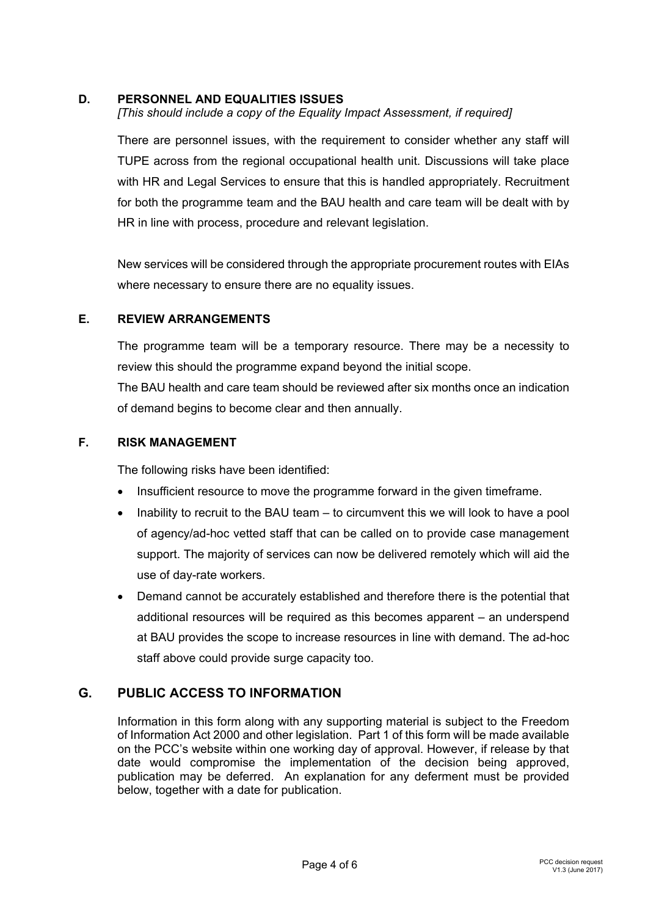## **D. PERSONNEL AND EQUALITIES ISSUES**

*[This should include a copy of the Equality Impact Assessment, if required]* 

There are personnel issues, with the requirement to consider whether any staff will TUPE across from the regional occupational health unit. Discussions will take place with HR and Legal Services to ensure that this is handled appropriately. Recruitment for both the programme team and the BAU health and care team will be dealt with by HR in line with process, procedure and relevant legislation.

New services will be considered through the appropriate procurement routes with EIAs where necessary to ensure there are no equality issues.

#### **E. REVIEW ARRANGEMENTS**

The programme team will be a temporary resource. There may be a necessity to review this should the programme expand beyond the initial scope.

The BAU health and care team should be reviewed after six months once an indication of demand begins to become clear and then annually.

#### **F. RISK MANAGEMENT**

The following risks have been identified:

- Insufficient resource to move the programme forward in the given timeframe.
- Inability to recruit to the BAU team to circumvent this we will look to have a pool of agency/ad-hoc vetted staff that can be called on to provide case management support. The majority of services can now be delivered remotely which will aid the use of day-rate workers.
- Demand cannot be accurately established and therefore there is the potential that additional resources will be required as this becomes apparent – an underspend at BAU provides the scope to increase resources in line with demand. The ad-hoc staff above could provide surge capacity too.

## **G. PUBLIC ACCESS TO INFORMATION**

Information in this form along with any supporting material is subject to the Freedom of Information Act 2000 and other legislation. Part 1 of this form will be made available on the PCC's website within one working day of approval. However, if release by that date would compromise the implementation of the decision being approved, publication may be deferred. An explanation for any deferment must be provided below, together with a date for publication.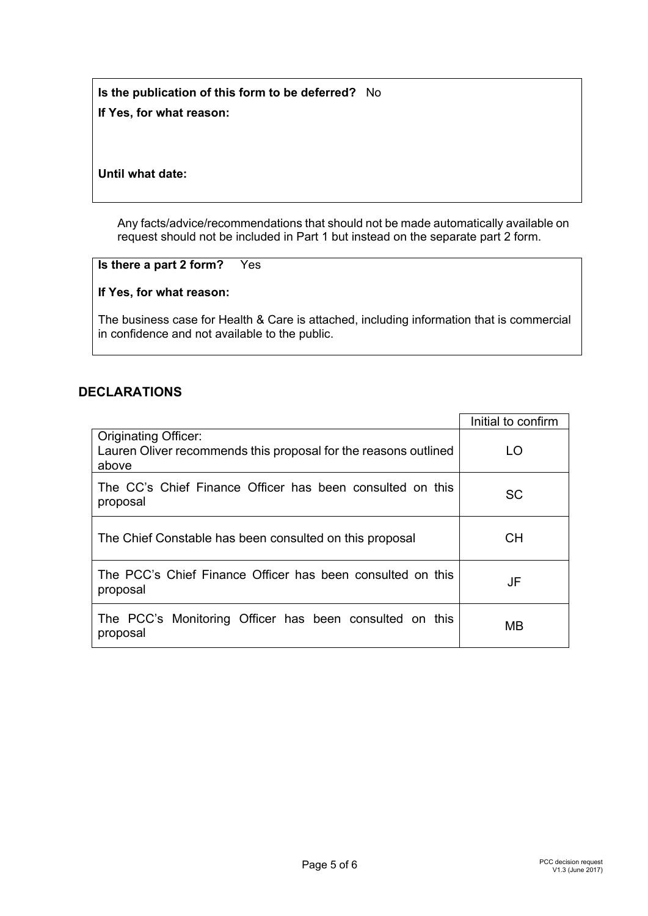**Is the publication of this form to be deferred?** No **If Yes, for what reason:** 

## **Until what date:**

Any facts/advice/recommendations that should not be made automatically available on request should not be included in Part 1 but instead on the separate part 2 form.

#### **Is there a part 2 form?** Yes

## **If Yes, for what reason:**

The business case for Health & Care is attached, including information that is commercial in confidence and not available to the public.

## **DECLARATIONS**

|                                                                                                         | Initial to confirm |
|---------------------------------------------------------------------------------------------------------|--------------------|
| <b>Originating Officer:</b><br>Lauren Oliver recommends this proposal for the reasons outlined<br>above | LO                 |
| The CC's Chief Finance Officer has been consulted on this<br>proposal                                   | <b>SC</b>          |
| The Chief Constable has been consulted on this proposal                                                 | <b>CH</b>          |
| The PCC's Chief Finance Officer has been consulted on this<br>proposal                                  | JF                 |
| The PCC's Monitoring Officer has been consulted on this<br>proposal                                     | MВ                 |